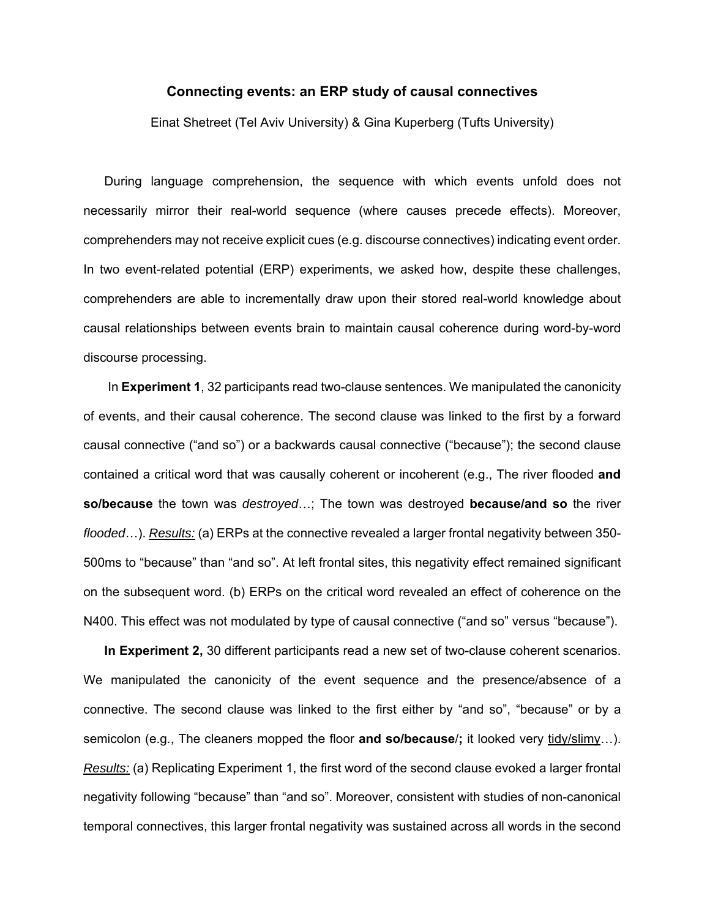## **Connecting events: an ERP study of causal connectives**

Einat Shetreet (Tel Aviv University) & Gina Kuperberg (Tufts University)

During language comprehension, the sequence with which events unfold does not necessarily mirror their real-world sequence (where causes precede effects). Moreover, comprehenders may not receive explicit cues (e.g. discourse connectives) indicating event order. In two event-related potential (ERP) experiments, we asked how, despite these challenges, comprehenders are able to incrementally draw upon their stored real-world knowledge about causal relationships between events brain to maintain causal coherence during word-by-word discourse processing.

 In **Experiment 1**, 32 participants read two-clause sentences. We manipulated the canonicity of events, and their causal coherence. The second clause was linked to the first by a forward causal connective ("and so") or a backwards causal connective ("because"); the second clause contained a critical word that was causally coherent or incoherent (e.g., The river flooded **and so/because** the town was *destroyed*…; The town was destroyed **because/and so** the river *flooded*…). *Results:* (a) ERPs at the connective revealed a larger frontal negativity between 350- 500ms to "because" than "and so". At left frontal sites, this negativity effect remained significant on the subsequent word. (b) ERPs on the critical word revealed an effect of coherence on the N400. This effect was not modulated by type of causal connective ("and so" versus "because").

**In Experiment 2,** 30 different participants read a new set of two-clause coherent scenarios. We manipulated the canonicity of the event sequence and the presence/absence of a connective. The second clause was linked to the first either by "and so", "because" or by a semicolon (e.g., The cleaners mopped the floor **and so/because**/**;** it looked very tidy/slimy…). *Results:* (a) Replicating Experiment 1, the first word of the second clause evoked a larger frontal negativity following "because" than "and so". Moreover, consistent with studies of non-canonical temporal connectives, this larger frontal negativity was sustained across all words in the second